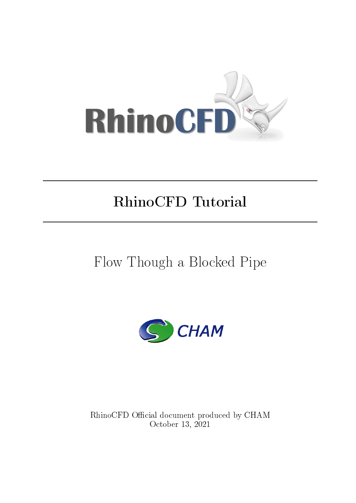

## RhinoCFD Tutorial

# Flow Though a Blocked Pipe



RhinoCFD Official document produced by CHAM October 13, 2021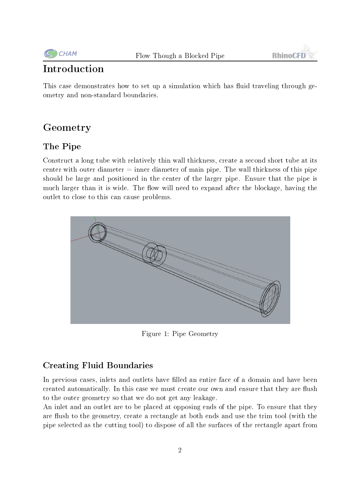

## Introduction

This case demonstrates how to set up a simulation which has fluid traveling through geometry and non-standard boundaries.

## Geometry

## The Pipe

Construct a long tube with relatively thin wall thickness, create a second short tube at its center with outer diameter  $=$  inner diameter of main pipe. The wall thickness of this pipe should be large and positioned in the center of the larger pipe. Ensure that the pipe is much larger than it is wide. The flow will need to expand after the blockage, having the outlet to close to this can cause problems.



Figure 1: Pipe Geometry

### Creating Fluid Boundaries

In previous cases, inlets and outlets have filled an entire face of a domain and have been created automatically. In this case we must create our own and ensure that they are flush to the outer geometry so that we do not get any leakage.

An inlet and an outlet are to be placed at opposing ends of the pipe. To ensure that they are flush to the geometry, create a rectangle at both ends and use the trim tool (with the pipe selected as the cutting tool) to dispose of all the surfaces of the rectangle apart from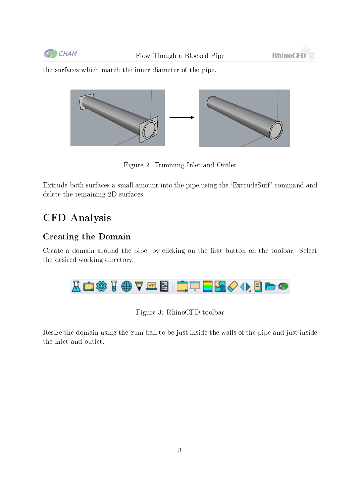



the surfaces which match the inner diameter of the pipe.



Figure 2: Trimming Inlet and Outlet

Extrude both surfaces a small amount into the pipe using the `ExtrudeSurf' command and delete the remaining 2D surfaces.

## CFD Analysis

#### Creating the Domain

Create a domain around the pipe, by clicking on the first button on the toolbar. Select the desired working directory.



Figure 3: RhinoCFD toolbar

Resize the domain using the gum ball to be just inside the walls of the pipe and just inside the inlet and outlet.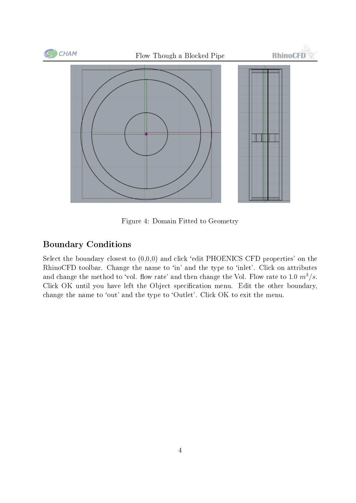

Figure 4: Domain Fitted to Geometry

#### Boundary Conditions

Select the boundary closest to  $(0,0,0)$  and click 'edit PHOENICS CFD properties' on the RhinoCFD toolbar. Change the name to 'in' and the type to 'inlet'. Click on attributes and change the method to 'vol. flow rate' and then change the Vol. Flow rate to 1.0  $m^3/s$ . Click OK until you have left the Object specification menu. Edit the other boundary, change the name to 'out' and the type to 'Outlet'. Click OK to exit the menu.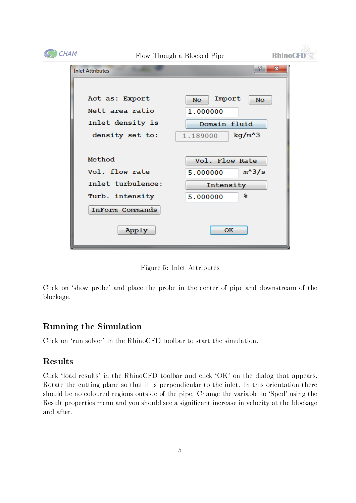| CHAM | Flow Though a Blocked Pipe                            |                                                        | <b>RhinoCFD</b> |
|------|-------------------------------------------------------|--------------------------------------------------------|-----------------|
|      | <b>Inlet Attributes</b>                               | 9                                                      | $\mathbf{x}$    |
|      | Act as: Export<br>Nett area ratio<br>Inlet density is | Import<br>No.<br><b>No</b><br>1.000000<br>Domain fluid |                 |
|      | density set to:                                       | $kg/m^3$<br>1.189000                                   |                 |
|      | Method                                                | Vol. Flow Rate                                         |                 |
|      | Vol. flow rate                                        | $m^3/s$<br>5.000000                                    |                 |
|      | Inlet turbulence:                                     | Intensity                                              |                 |
|      | Turb. intensity                                       | 鲁<br>5.000000                                          |                 |
|      | InForm Commands                                       |                                                        |                 |
|      | Apply                                                 | OK                                                     |                 |

Figure 5: Inlet Attributes

Click on `show probe' and place the probe in the center of pipe and downstream of the blockage.

### Running the Simulation

Click on 'run solver' in the RhinoCFD toolbar to start the simulation.

#### Results

Click 'load results' in the RhinoCFD toolbar and click 'OK' on the dialog that appears. Rotate the cutting plane so that it is perpendicular to the inlet. In this orientation there should be no coloured regions outside of the pipe. Change the variable to `Sped' using the Result properties menu and you should see a significant increase in velocity at the blockage and after.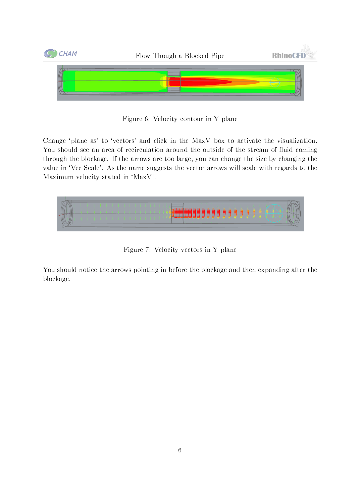

Figure 6: Velocity contour in Y plane

Change 'plane as' to 'vectors' and click in the MaxV box to activate the visualization. You should see an area of recirculation around the outside of the stream of fluid coming through the blockage. If the arrows are too large, you can change the size by changing the value in 'Vec Scale'. As the name suggests the vector arrows will scale with regards to the Maximum velocity stated in `MaxV'.



Figure 7: Velocity vectors in Y plane

You should notice the arrows pointing in before the blockage and then expanding after the blockage.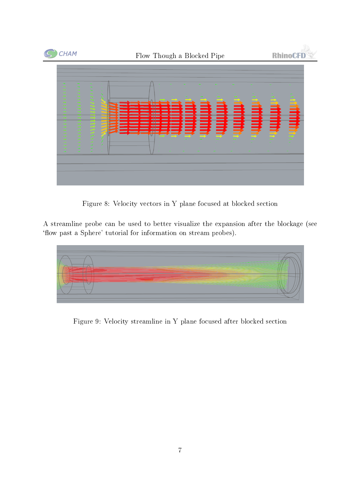

Figure 8: Velocity vectors in Y plane focused at blocked section

A streamline probe can be used to better visualize the expansion after the blockage (see 'flow past a Sphere' tutorial for information on stream probes).



Figure 9: Velocity streamline in Y plane focused after blocked section